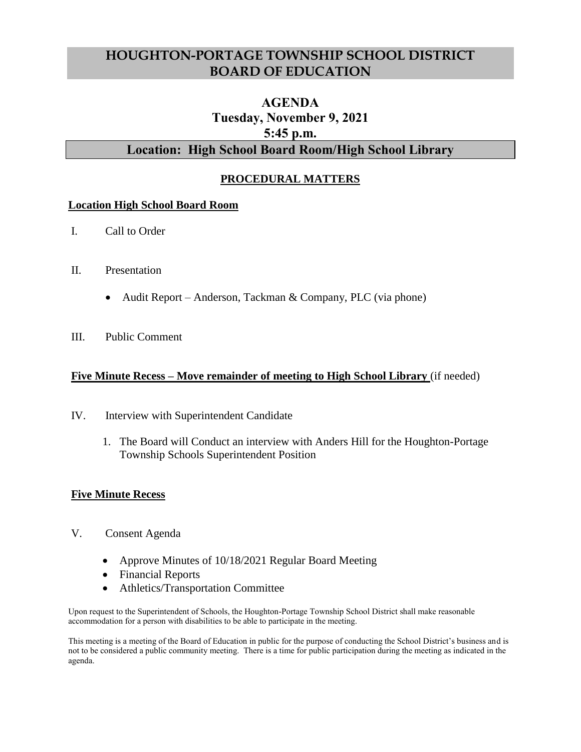# **HOUGHTON-PORTAGE TOWNSHIP SCHOOL DISTRICT BOARD OF EDUCATION**

# **AGENDA Tuesday, November 9, 2021 5:45 p.m. Location: High School Board Room/High School Library**

## **PROCEDURAL MATTERS**

#### **Location High School Board Room**

- I. Call to Order
- II. Presentation
	- Audit Report Anderson, Tackman & Company, PLC (via phone)
- III. Public Comment

### **Five Minute Recess – Move remainder of meeting to High School Library** (if needed)

- IV. Interview with Superintendent Candidate
	- 1. The Board will Conduct an interview with Anders Hill for the Houghton-Portage Township Schools Superintendent Position

### **Five Minute Recess**

- V. Consent Agenda
	- Approve Minutes of 10/18/2021 Regular Board Meeting
	- Financial Reports
	- Athletics/Transportation Committee

Upon request to the Superintendent of Schools, the Houghton-Portage Township School District shall make reasonable accommodation for a person with disabilities to be able to participate in the meeting.

This meeting is a meeting of the Board of Education in public for the purpose of conducting the School District's business and is not to be considered a public community meeting. There is a time for public participation during the meeting as indicated in the agenda.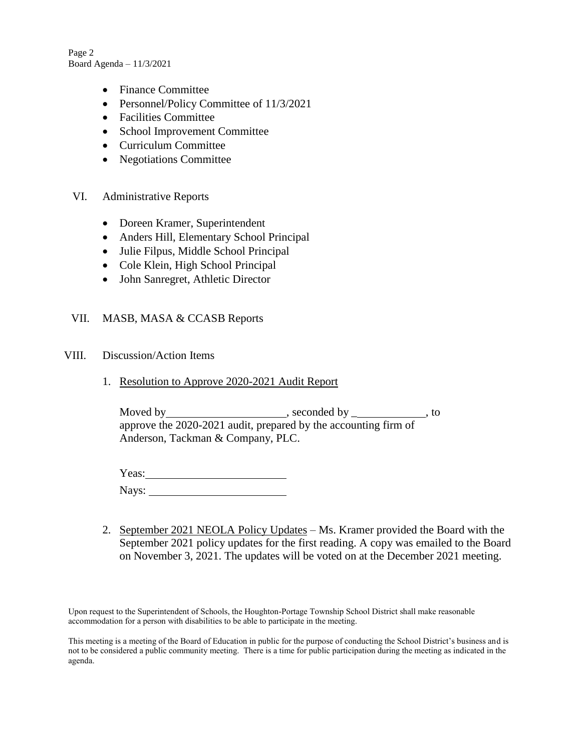Page 2 Board Agenda – 11/3/2021

- Finance Committee
- Personnel/Policy Committee of 11/3/2021
- Facilities Committee
- School Improvement Committee
- Curriculum Committee
- Negotiations Committee
- VI. Administrative Reports
	- Doreen Kramer, Superintendent
	- Anders Hill, Elementary School Principal
	- Julie Filpus, Middle School Principal
	- Cole Klein, High School Principal
	- John Sanregret, Athletic Director

### VII. MASB, MASA & CCASB Reports

#### VIII. Discussion/Action Items

1. Resolution to Approve 2020-2021 Audit Report

Moved by , seconded by \_ , to approve the 2020-2021 audit, prepared by the accounting firm of Anderson, Tackman & Company, PLC.

Yeas: Nays:

2. September 2021 NEOLA Policy Updates – Ms. Kramer provided the Board with the September 2021 policy updates for the first reading. A copy was emailed to the Board on November 3, 2021. The updates will be voted on at the December 2021 meeting.

Upon request to the Superintendent of Schools, the Houghton-Portage Township School District shall make reasonable accommodation for a person with disabilities to be able to participate in the meeting.

This meeting is a meeting of the Board of Education in public for the purpose of conducting the School District's business and is not to be considered a public community meeting. There is a time for public participation during the meeting as indicated in the agenda.